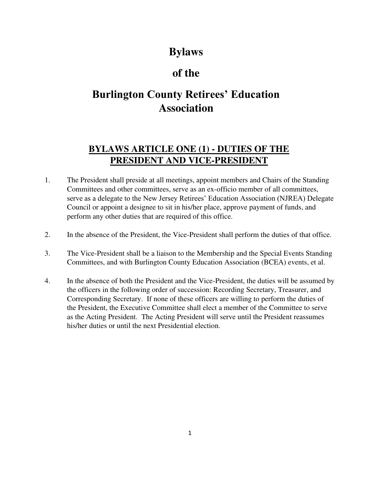# **Bylaws**

# **of the**

# **Burlington County Retirees' Education Association**

## **BYLAWS ARTICLE ONE (1) - DUTIES OF THE PRESIDENT AND VICE-PRESIDENT**

- 1. The President shall preside at all meetings, appoint members and Chairs of the Standing Committees and other committees, serve as an ex-officio member of all committees, serve as a delegate to the New Jersey Retirees' Education Association (NJREA) Delegate Council or appoint a designee to sit in his/her place, approve payment of funds, and perform any other duties that are required of this office.
- 2. In the absence of the President, the Vice-President shall perform the duties of that office.
- 3. The Vice-President shall be a liaison to the Membership and the Special Events Standing Committees, and with Burlington County Education Association (BCEA) events, et al.
- 4. In the absence of both the President and the Vice-President, the duties will be assumed by the officers in the following order of succession: Recording Secretary, Treasurer, and Corresponding Secretary. If none of these officers are willing to perform the duties of the President, the Executive Committee shall elect a member of the Committee to serve as the Acting President. The Acting President will serve until the President reassumes his/her duties or until the next Presidential election.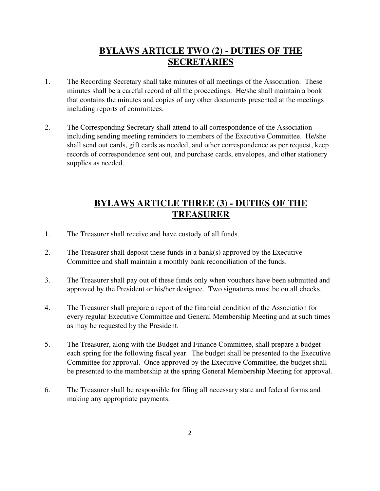#### **BYLAWS ARTICLE TWO (2) - DUTIES OF THE SECRETARIES**

- 1. The Recording Secretary shall take minutes of all meetings of the Association. These minutes shall be a careful record of all the proceedings. He/she shall maintain a book that contains the minutes and copies of any other documents presented at the meetings including reports of committees.
- 2. The Corresponding Secretary shall attend to all correspondence of the Association including sending meeting reminders to members of the Executive Committee. He/she shall send out cards, gift cards as needed, and other correspondence as per request, keep records of correspondence sent out, and purchase cards, envelopes, and other stationery supplies as needed.

#### **BYLAWS ARTICLE THREE (3) - DUTIES OF THE TREASURER**

- 1. The Treasurer shall receive and have custody of all funds.
- 2. The Treasurer shall deposit these funds in a bank(s) approved by the Executive Committee and shall maintain a monthly bank reconciliation of the funds.
- 3. The Treasurer shall pay out of these funds only when vouchers have been submitted and approved by the President or his/her designee. Two signatures must be on all checks.
- 4. The Treasurer shall prepare a report of the financial condition of the Association for every regular Executive Committee and General Membership Meeting and at such times as may be requested by the President.
- 5. The Treasurer, along with the Budget and Finance Committee, shall prepare a budget each spring for the following fiscal year. The budget shall be presented to the Executive Committee for approval. Once approved by the Executive Committee, the budget shall be presented to the membership at the spring General Membership Meeting for approval.
- 6. The Treasurer shall be responsible for filing all necessary state and federal forms and making any appropriate payments.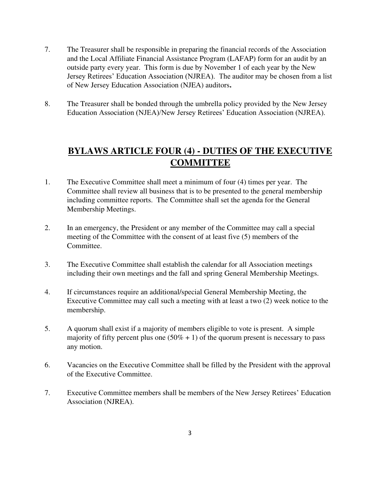- 7. The Treasurer shall be responsible in preparing the financial records of the Association and the Local Affiliate Financial Assistance Program (LAFAP) form for an audit by an outside party every year. This form is due by November 1 of each year by the New Jersey Retirees' Education Association (NJREA). The auditor may be chosen from a list of New Jersey Education Association (NJEA) auditors**.**
- 8. The Treasurer shall be bonded through the umbrella policy provided by the New Jersey Education Association (NJEA)/New Jersey Retirees' Education Association (NJREA).

## **BYLAWS ARTICLE FOUR (4) - DUTIES OF THE EXECUTIVE COMMITTEE**

- 1. The Executive Committee shall meet a minimum of four (4) times per year. The Committee shall review all business that is to be presented to the general membership including committee reports. The Committee shall set the agenda for the General Membership Meetings.
- 2. In an emergency, the President or any member of the Committee may call a special meeting of the Committee with the consent of at least five (5) members of the Committee.
- 3. The Executive Committee shall establish the calendar for all Association meetings including their own meetings and the fall and spring General Membership Meetings.
- 4. If circumstances require an additional/special General Membership Meeting, the Executive Committee may call such a meeting with at least a two (2) week notice to the membership.
- 5. A quorum shall exist if a majority of members eligible to vote is present. A simple majority of fifty percent plus one  $(50\% + 1)$  of the quorum present is necessary to pass any motion.
- 6. Vacancies on the Executive Committee shall be filled by the President with the approval of the Executive Committee.
- 7. Executive Committee members shall be members of the New Jersey Retirees' Education Association (NJREA).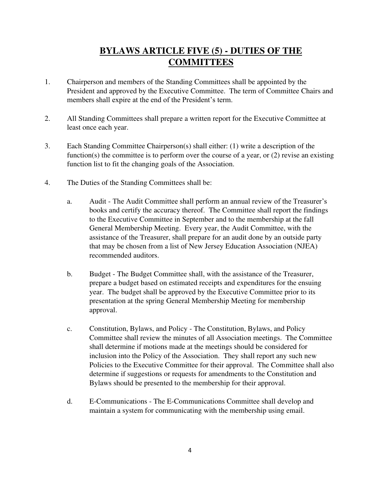## **BYLAWS ARTICLE FIVE (5) - DUTIES OF THE COMMITTEES**

- 1. Chairperson and members of the Standing Committees shall be appointed by the President and approved by the Executive Committee. The term of Committee Chairs and members shall expire at the end of the President's term.
- 2. All Standing Committees shall prepare a written report for the Executive Committee at least once each year.
- 3. Each Standing Committee Chairperson(s) shall either: (1) write a description of the function(s) the committee is to perform over the course of a year, or (2) revise an existing function list to fit the changing goals of the Association.
- 4. The Duties of the Standing Committees shall be:
	- a. Audit The Audit Committee shall perform an annual review of the Treasurer's books and certify the accuracy thereof. The Committee shall report the findings to the Executive Committee in September and to the membership at the fall General Membership Meeting. Every year, the Audit Committee, with the assistance of the Treasurer, shall prepare for an audit done by an outside party that may be chosen from a list of New Jersey Education Association (NJEA) recommended auditors.
	- b. Budget The Budget Committee shall, with the assistance of the Treasurer, prepare a budget based on estimated receipts and expenditures for the ensuing year. The budget shall be approved by the Executive Committee prior to its presentation at the spring General Membership Meeting for membership approval.
	- c. Constitution, Bylaws, and Policy The Constitution, Bylaws, and Policy Committee shall review the minutes of all Association meetings. The Committee shall determine if motions made at the meetings should be considered for inclusion into the Policy of the Association. They shall report any such new Policies to the Executive Committee for their approval. The Committee shall also determine if suggestions or requests for amendments to the Constitution and Bylaws should be presented to the membership for their approval.
	- d. E-Communications The E-Communications Committee shall develop and maintain a system for communicating with the membership using email.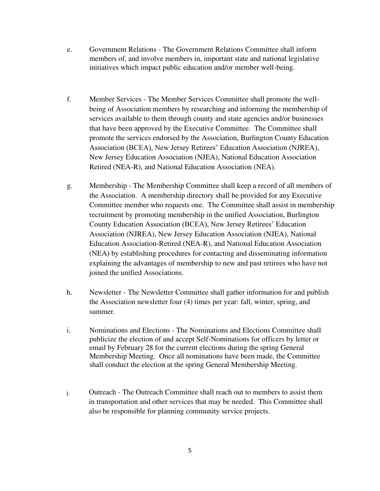- e. Government Relations The Government Relations Committee shall inform members of, and involve members in, important state and national legislative initiatives which impact public education and/or member well-being.
- f. Member Services The Member Services Committee shall promote the wellbeing of Association members by researching and informing the membership of services available to them through county and state agencies and/or businesses that have been approved by the Executive Committee. The Committee shall promote the services endorsed by the Association, Burlington County Education Association (BCEA), New Jersey Retirees' Education Association (NJREA), New Jersey Education Association (NJEA), National Education Association Retired (NEA-R), and National Education Association (NEA).
- g. Membership The Membership Committee shall keep a record of all members of the Association. A membership directory shall be provided for any Executive Committee member who requests one. The Committee shall assist in membership recruitment by promoting membership in the unified Association, Burlington County Education Association (BCEA), New Jersey Retirees' Education Association (NJREA), New Jersey Education Association (NJEA), National Education Association-Retired (NEA-R), and National Education Association (NEA) by establishing procedures for contacting and disseminating information explaining the advantages of membership to new and past retirees who have not joined the unified Associations.
- h. Newsletter The Newsletter Committee shall gather information for and publish the Association newsletter four (4) times per year: fall, winter, spring, and summer.
- i. Nominations and Elections The Nominations and Elections Committee shall publicize the election of and accept Self-Nominations for officers by letter or email by February 28 for the current elections during the spring General Membership Meeting. Once all nominations have been made, the Committee shall conduct the election at the spring General Membership Meeting.
- j. Outreach The Outreach Committee shall reach out to members to assist them in transportation and other services that may be needed. This Committee shall also be responsible for planning community service projects.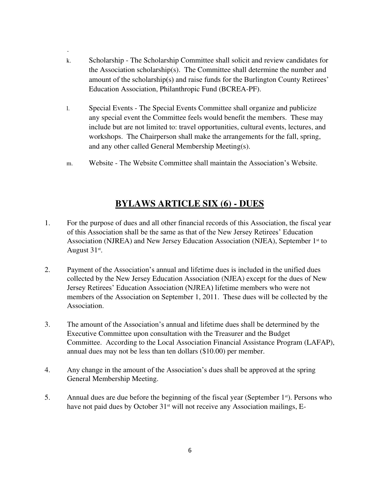k. Scholarship - The Scholarship Committee shall solicit and review candidates for the Association scholarship(s). The Committee shall determine the number and amount of the scholarship(s) and raise funds for the Burlington County Retirees' Education Association, Philanthropic Fund (BCREA-PF).

.

- l. Special Events The Special Events Committee shall organize and publicize any special event the Committee feels would benefit the members. These may include but are not limited to: travel opportunities, cultural events, lectures, and workshops. The Chairperson shall make the arrangements for the fall, spring, and any other called General Membership Meeting(s).
- m. Website The Website Committee shall maintain the Association's Website.

#### **BYLAWS ARTICLE SIX (6) - DUES**

- 1. For the purpose of dues and all other financial records of this Association, the fiscal year of this Association shall be the same as that of the New Jersey Retirees' Education Association (NJREA) and New Jersey Education Association (NJEA), September 1<sup>st</sup> to August 31<sup>st</sup>.
- 2. Payment of the Association's annual and lifetime dues is included in the unified dues collected by the New Jersey Education Association (NJEA) except for the dues of New Jersey Retirees' Education Association (NJREA) lifetime members who were not members of the Association on September 1, 2011. These dues will be collected by the Association.
- 3. The amount of the Association's annual and lifetime dues shall be determined by the Executive Committee upon consultation with the Treasurer and the Budget Committee. According to the Local Association Financial Assistance Program (LAFAP), annual dues may not be less than ten dollars (\$10.00) per member.
- 4. Any change in the amount of the Association's dues shall be approved at the spring General Membership Meeting.
- 5. Annual dues are due before the beginning of the fiscal year (September 1st). Persons who have not paid dues by October 31<sup>st</sup> will not receive any Association mailings, E-